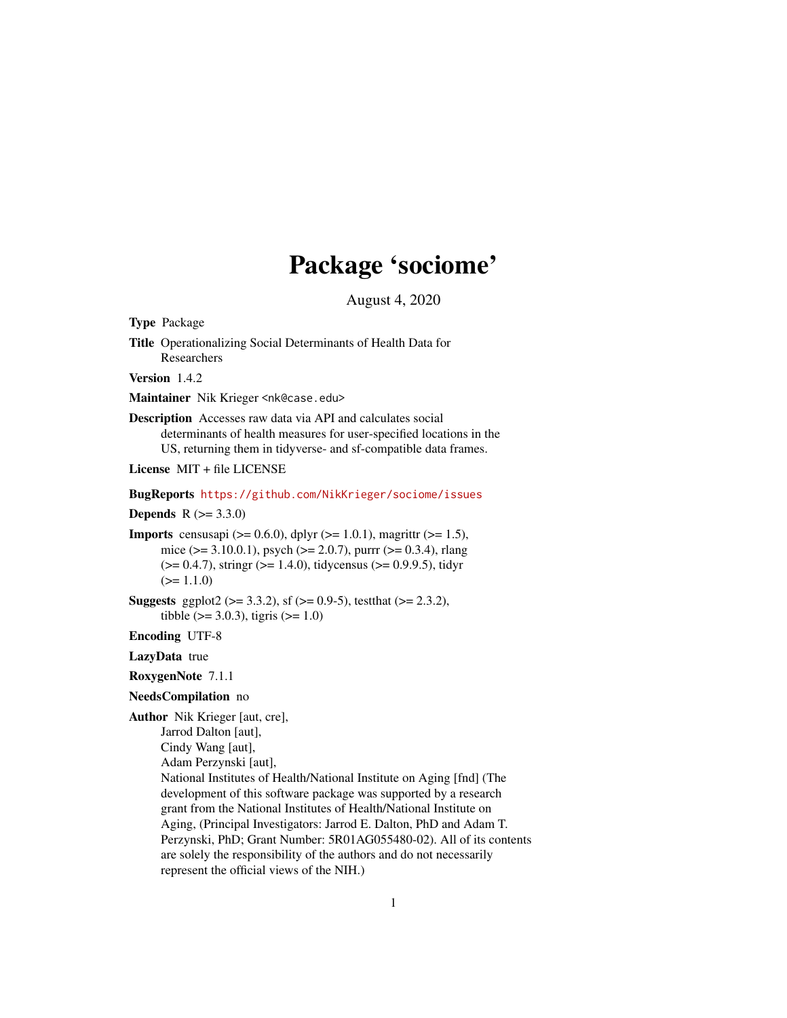## Package 'sociome'

August 4, 2020

<span id="page-0-0"></span>Type Package

Title Operationalizing Social Determinants of Health Data for Researchers

Version 1.4.2

Maintainer Nik Krieger <nk@case.edu>

Description Accesses raw data via API and calculates social determinants of health measures for user-specified locations in the US, returning them in tidyverse- and sf-compatible data frames.

License MIT + file LICENSE

#### BugReports <https://github.com/NikKrieger/sociome/issues>

**Depends**  $R (= 3.3.0)$ 

**Imports** censusapi ( $> = 0.6.0$ ), dplyr ( $> = 1.0.1$ ), magrittr ( $> = 1.5$ ), mice ( $> = 3.10.0.1$ ), psych ( $> = 2.0.7$ ), purrr ( $> = 0.3.4$ ), rlang  $(>= 0.4.7)$ , stringr  $(>= 1.4.0)$ , tidycensus  $(>= 0.9.9.5)$ , tidyr  $(>= 1.1.0)$ 

**Suggests** ggplot2 ( $>= 3.3.2$ ), sf ( $>= 0.9-5$ ), testthat ( $>= 2.3.2$ ), tibble ( $> = 3.0.3$ ), tigris ( $>= 1.0$ )

Encoding UTF-8

LazyData true

#### RoxygenNote 7.1.1

NeedsCompilation no

Author Nik Krieger [aut, cre], Jarrod Dalton [aut],

Cindy Wang [aut],

Adam Perzynski [aut],

National Institutes of Health/National Institute on Aging [fnd] (The development of this software package was supported by a research grant from the National Institutes of Health/National Institute on Aging, (Principal Investigators: Jarrod E. Dalton, PhD and Adam T. Perzynski, PhD; Grant Number: 5R01AG055480-02). All of its contents are solely the responsibility of the authors and do not necessarily represent the official views of the NIH.)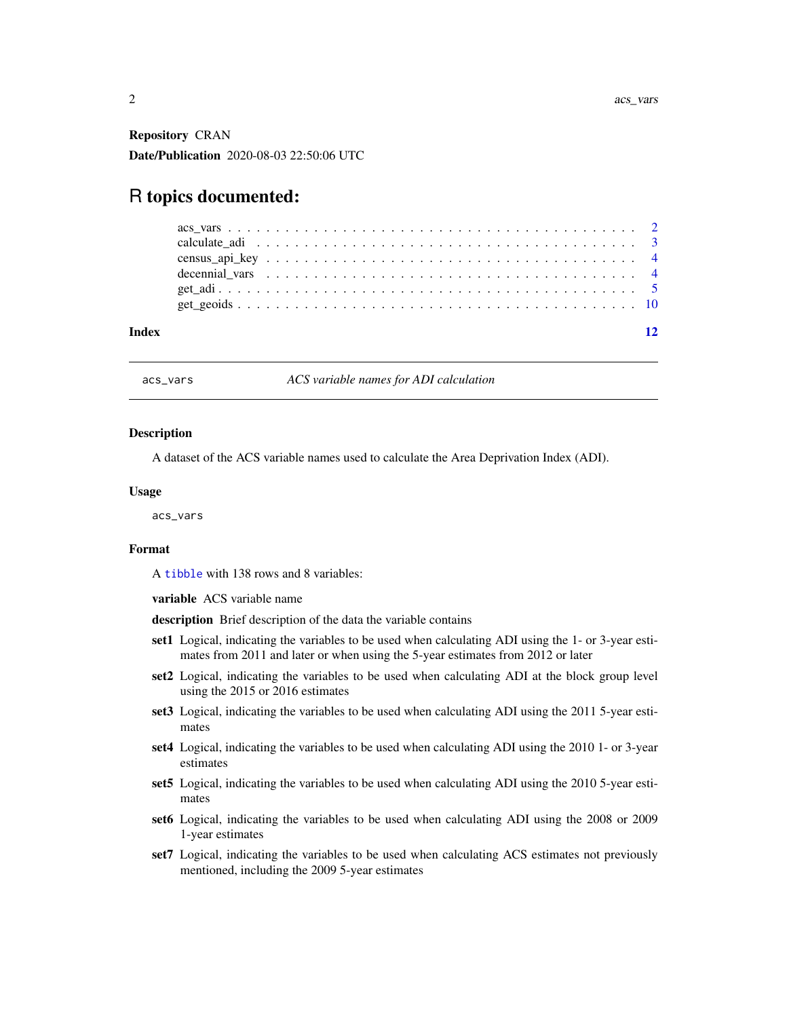<span id="page-1-0"></span>Repository CRAN Date/Publication 2020-08-03 22:50:06 UTC

### R topics documented:

| decennial vars $\ldots \ldots \ldots \ldots \ldots \ldots \ldots \ldots \ldots \ldots \ldots \ldots \ldots$ |  |  |  |  |  |  |  |  |  |  |  |  |  |  |  |  |  |  |
|-------------------------------------------------------------------------------------------------------------|--|--|--|--|--|--|--|--|--|--|--|--|--|--|--|--|--|--|
|                                                                                                             |  |  |  |  |  |  |  |  |  |  |  |  |  |  |  |  |  |  |

<span id="page-1-1"></span>acs\_vars *ACS variable names for ADI calculation*

#### **Description**

A dataset of the ACS variable names used to calculate the Area Deprivation Index (ADI).

#### Usage

acs\_vars

#### Format

A [tibble](#page-0-0) with 138 rows and 8 variables:

variable ACS variable name

description Brief description of the data the variable contains

- set1 Logical, indicating the variables to be used when calculating ADI using the 1- or 3-year estimates from 2011 and later or when using the 5-year estimates from 2012 or later
- set2 Logical, indicating the variables to be used when calculating ADI at the block group level using the 2015 or 2016 estimates
- set3 Logical, indicating the variables to be used when calculating ADI using the 2011 5-year estimates
- set4 Logical, indicating the variables to be used when calculating ADI using the 2010 1- or 3-year estimates
- set5 Logical, indicating the variables to be used when calculating ADI using the 2010 5-year estimates
- set6 Logical, indicating the variables to be used when calculating ADI using the 2008 or 2009 1-year estimates
- set7 Logical, indicating the variables to be used when calculating ACS estimates not previously mentioned, including the 2009 5-year estimates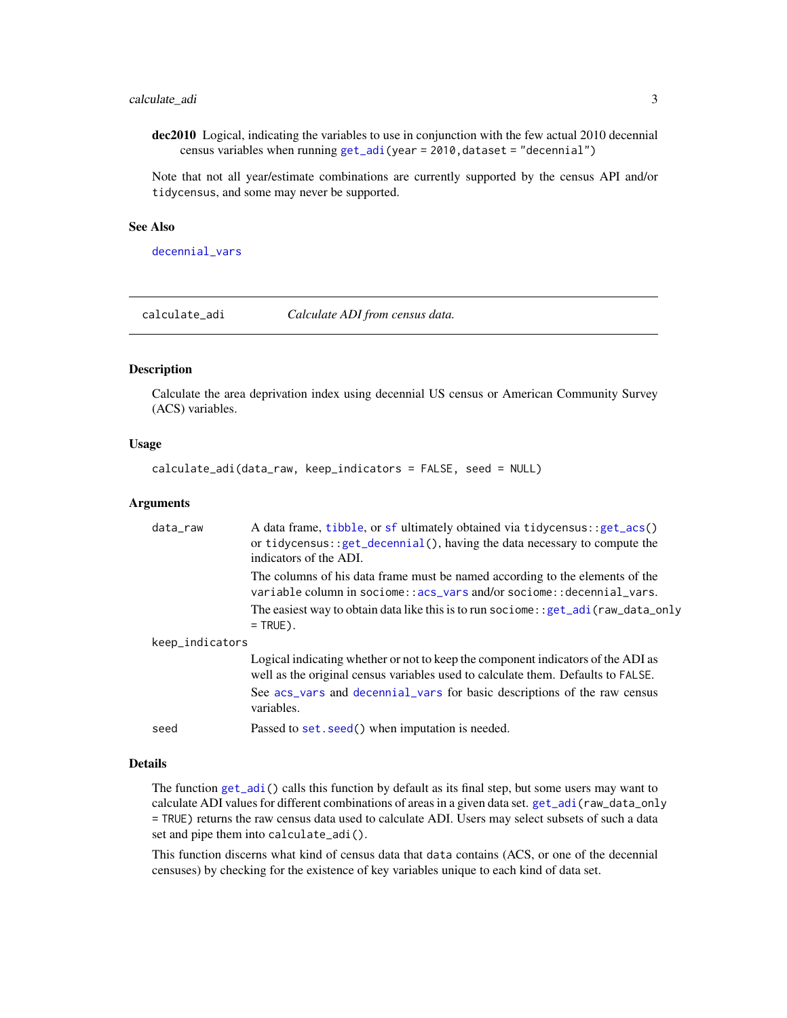#### <span id="page-2-0"></span>calculate\_adi 3

dec2010 Logical, indicating the variables to use in conjunction with the few actual 2010 decennial census variables when running  $get\_adi(year = 2010, dataset = "decennial")$ 

Note that not all year/estimate combinations are currently supported by the census API and/or tidycensus, and some may never be supported.

#### See Also

decennial vars

<span id="page-2-1"></span>calculate\_adi *Calculate ADI from census data.*

#### Description

Calculate the area deprivation index using decennial US census or American Community Survey (ACS) variables.

#### Usage

calculate\_adi(data\_raw, keep\_indicators = FALSE, seed = NULL)

#### Arguments

| data_raw        | A data frame, tibble, or sf ultimately obtained via tidycensus: : get_acs()<br>or tidycensus: : $get\_decennial()$ , having the data necessary to compute the<br>indicators of the ADI. |
|-----------------|-----------------------------------------------------------------------------------------------------------------------------------------------------------------------------------------|
|                 | The columns of his data frame must be named according to the elements of the<br>variable column in sociome::acs_vars and/or sociome::decennial_vars.                                    |
|                 | The easiest way to obtain data like this is to run sociome: : get_adi(raw_data_only<br>$=$ TRUE).                                                                                       |
| keep_indicators |                                                                                                                                                                                         |
|                 | Logical indicating whether or not to keep the component indicators of the ADI as<br>well as the original census variables used to calculate them. Defaults to FALSE.                    |
|                 | See acs_vars and decennial_vars for basic descriptions of the raw census<br>variables.                                                                                                  |
| seed            | Passed to set. seed() when imputation is needed.                                                                                                                                        |

#### Details

The function [get\\_adi\(](#page-4-1)) calls this function by default as its final step, but some users may want to calculate ADI values for different combinations of areas in a given data set. [get\\_adi\(](#page-4-1)raw\_data\_only = TRUE) returns the raw census data used to calculate ADI. Users may select subsets of such a data set and pipe them into calculate\_adi().

This function discerns what kind of census data that data contains (ACS, or one of the decennial censuses) by checking for the existence of key variables unique to each kind of data set.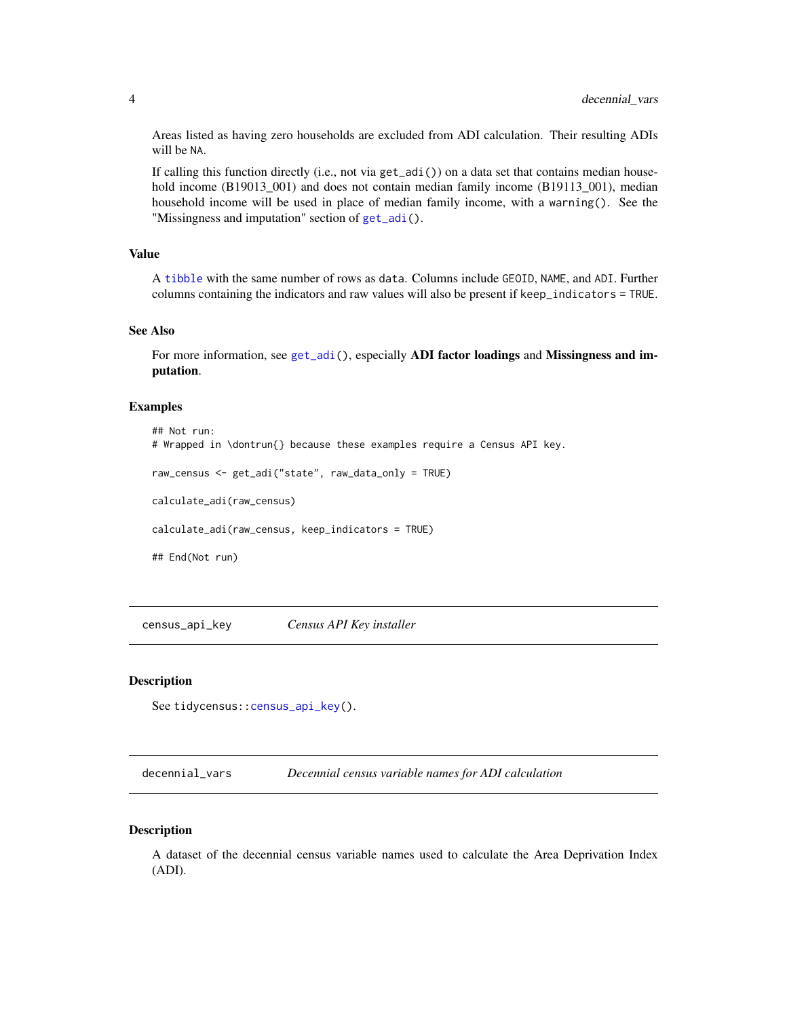<span id="page-3-0"></span>Areas listed as having zero households are excluded from ADI calculation. Their resulting ADIs will be NA.

If calling this function directly (i.e., not via  $get\_adi()$ ) on a data set that contains median household income (B19013\_001) and does not contain median family income (B19113\_001), median household income will be used in place of median family income, with a warning(). See the "Missingness and imputation" section of [get\\_adi\(](#page-4-1)).

#### Value

A [tibble](#page-0-0) with the same number of rows as data. Columns include GEOID, NAME, and ADI. Further columns containing the indicators and raw values will also be present if keep\_indicators = TRUE.

#### See Also

For more information, see [get\\_adi\(](#page-4-1)), especially **ADI factor loadings** and **Missingness and im**putation.

#### Examples

```
## Not run:
# Wrapped in \dontrun{} because these examples require a Census API key.
raw_census <- get_adi("state", raw_data_only = TRUE)
calculate_adi(raw_census)
calculate_adi(raw_census, keep_indicators = TRUE)
## End(Not run)
```
<span id="page-3-2"></span>census\_api\_key *Census API Key installer*

#### Description

See tidycensus:[:census\\_api\\_key\(](#page-3-2)).

<span id="page-3-1"></span>decennial\_vars *Decennial census variable names for ADI calculation*

#### Description

A dataset of the decennial census variable names used to calculate the Area Deprivation Index (ADI).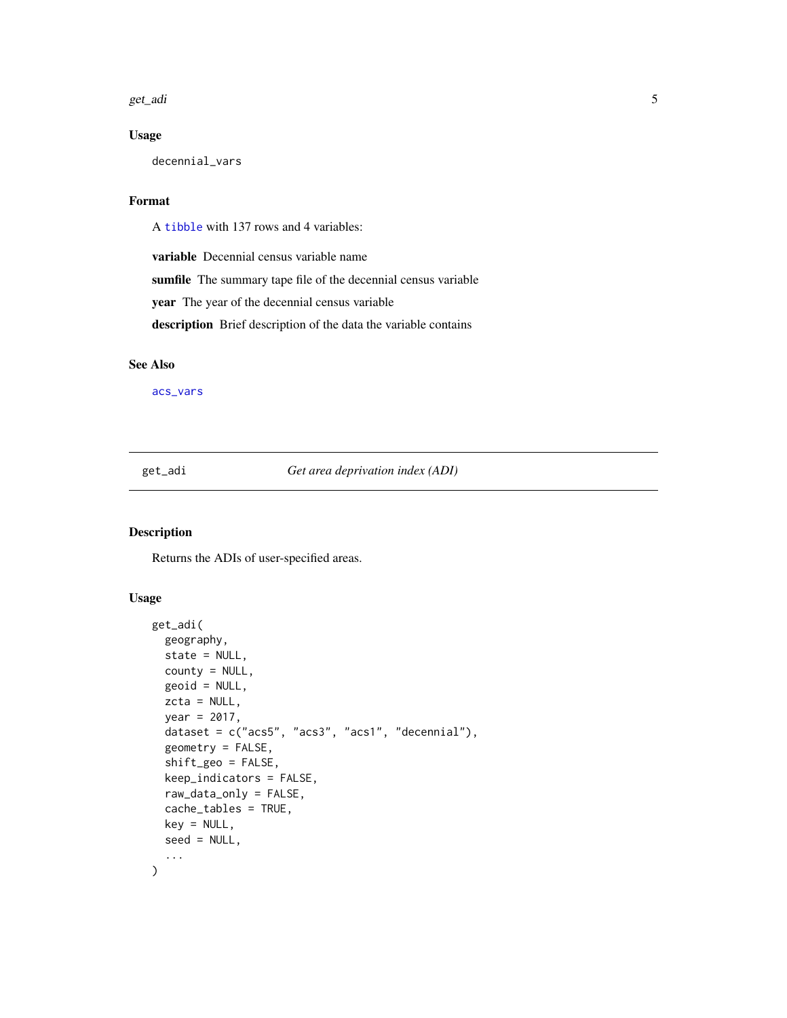<span id="page-4-0"></span>get\_adi 5

#### Usage

decennial\_vars

#### Format

A [tibble](#page-0-0) with 137 rows and 4 variables:

variable Decennial census variable name

sumfile The summary tape file of the decennial census variable

year The year of the decennial census variable

description Brief description of the data the variable contains

#### See Also

[acs\\_vars](#page-1-1)

<span id="page-4-1"></span>get\_adi *Get area deprivation index (ADI)*

#### Description

Returns the ADIs of user-specified areas.

#### Usage

```
get_adi(
  geography,
  state = NULL,
  county = NULL,
  geoid = NULL,
  zcta = NULL,year = 2017,
  dataset = c("acs5", "acs3", "acs1", "decennial"),
  geometry = FALSE,
  shift_geo = FALSE,
  keep_indicators = FALSE,
  raw_data_only = FALSE,
  cache_tables = TRUE,
  key = NULL,
  seed = NULL,
  ...
\mathcal{E}
```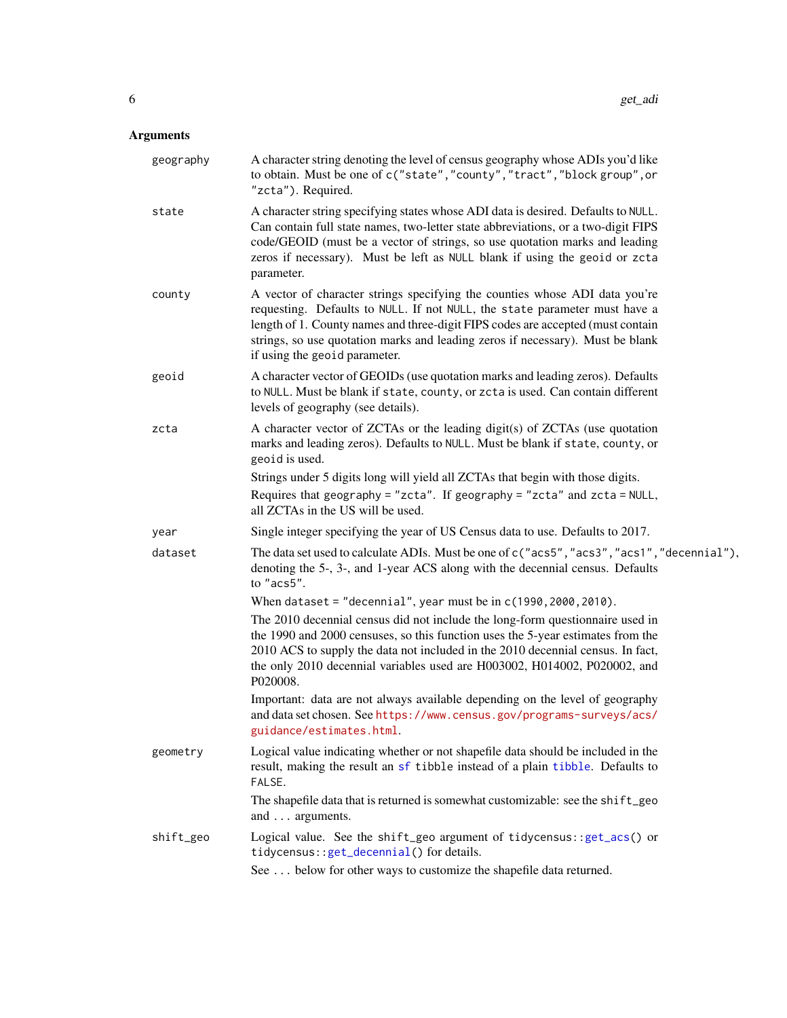#### <span id="page-5-0"></span>Arguments

| geography | A character string denoting the level of census geography whose ADIs you'd like<br>to obtain. Must be one of c("state", "county", "tract", "block group", or<br>"zcta"). Required.                                                                                                                                                                              |
|-----------|-----------------------------------------------------------------------------------------------------------------------------------------------------------------------------------------------------------------------------------------------------------------------------------------------------------------------------------------------------------------|
| state     | A character string specifying states whose ADI data is desired. Defaults to NULL.<br>Can contain full state names, two-letter state abbreviations, or a two-digit FIPS<br>code/GEOID (must be a vector of strings, so use quotation marks and leading<br>zeros if necessary). Must be left as NULL blank if using the geoid or zcta<br>parameter.               |
| county    | A vector of character strings specifying the counties whose ADI data you're<br>requesting. Defaults to NULL. If not NULL, the state parameter must have a<br>length of 1. County names and three-digit FIPS codes are accepted (must contain<br>strings, so use quotation marks and leading zeros if necessary). Must be blank<br>if using the geoid parameter. |
| geoid     | A character vector of GEOIDs (use quotation marks and leading zeros). Defaults<br>to NULL. Must be blank if state, county, or zcta is used. Can contain different<br>levels of geography (see details).                                                                                                                                                         |
| zcta      | A character vector of ZCTAs or the leading digit(s) of ZCTAs (use quotation<br>marks and leading zeros). Defaults to NULL. Must be blank if state, county, or<br>geoid is used.<br>Strings under 5 digits long will yield all ZCTAs that begin with those digits.                                                                                               |
|           | Requires that geography = "zcta". If geography = "zcta" and zcta = NULL,<br>all ZCTAs in the US will be used.                                                                                                                                                                                                                                                   |
| year      | Single integer specifying the year of US Census data to use. Defaults to 2017.                                                                                                                                                                                                                                                                                  |
| dataset   | The data set used to calculate ADIs. Must be one of c("acs5", "acs3", "acs1", "decennial"),<br>denoting the 5-, 3-, and 1-year ACS along with the decennial census. Defaults<br>to "acs5".                                                                                                                                                                      |
|           | When dataset = "decennial", year must be in $c(1990, 2000, 2010)$ .                                                                                                                                                                                                                                                                                             |
|           | The 2010 decennial census did not include the long-form questionnaire used in<br>the 1990 and 2000 censuses, so this function uses the 5-year estimates from the<br>2010 ACS to supply the data not included in the 2010 decennial census. In fact,<br>the only 2010 decennial variables used are H003002, H014002, P020002, and<br>P020008.                    |
|           | Important: data are not always available depending on the level of geography<br>and data set chosen. See https://www.census.gov/programs-surveys/acs/<br>guidance/estimates.html.                                                                                                                                                                               |
| geometry  | Logical value indicating whether or not shapefile data should be included in the<br>result, making the result an sf tibble instead of a plain tibble. Defaults to<br>FALSE.                                                                                                                                                                                     |
|           | The shapefile data that is returned is somewhat customizable: see the shift_geo<br>and arguments.                                                                                                                                                                                                                                                               |
| shift_geo | Logical value. See the shift_geo argument of tidycensus:: get_acs() or<br>tidycensus::get_decennial() for details.                                                                                                                                                                                                                                              |
|           | See  below for other ways to customize the shapefile data returned.                                                                                                                                                                                                                                                                                             |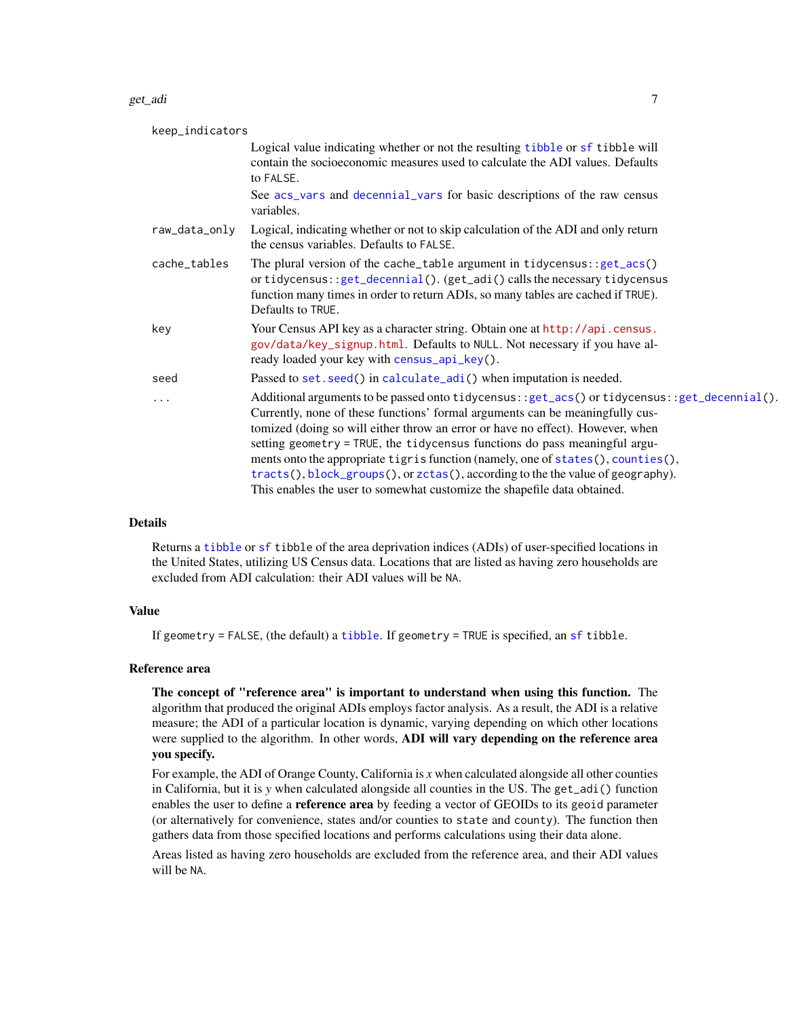#### <span id="page-6-0"></span>get\_adi 7

| keep_indicators |                                                                                                                                                                                                                                                                                                                                                                                                                                                                                                                                                                                                  |
|-----------------|--------------------------------------------------------------------------------------------------------------------------------------------------------------------------------------------------------------------------------------------------------------------------------------------------------------------------------------------------------------------------------------------------------------------------------------------------------------------------------------------------------------------------------------------------------------------------------------------------|
|                 | Logical value indicating whether or not the resulting tibble or sf tibble will<br>contain the socioeconomic measures used to calculate the ADI values. Defaults<br>to FALSE.                                                                                                                                                                                                                                                                                                                                                                                                                     |
|                 | See acs_vars and decennial_vars for basic descriptions of the raw census<br>variables.                                                                                                                                                                                                                                                                                                                                                                                                                                                                                                           |
| raw_data_only   | Logical, indicating whether or not to skip calculation of the ADI and only return<br>the census variables. Defaults to FALSE.                                                                                                                                                                                                                                                                                                                                                                                                                                                                    |
| cache_tables    | The plural version of the cache_table argument in tidycensus: : $get\_acs()$<br>or tidycensus: : $get\_decennial()$ . $(get\_adi()$ calls the necessary tidycensus<br>function many times in order to return ADIs, so many tables are cached if TRUE).<br>Defaults to TRUE.                                                                                                                                                                                                                                                                                                                      |
| key             | Your Census API key as a character string. Obtain one at http://api.census.<br>gov/data/key_signup.html. Defaults to NULL. Not necessary if you have al-<br>ready loaded your key with census_api_key().                                                                                                                                                                                                                                                                                                                                                                                         |
| seed            | Passed to set. seed() in calculate_adi() when imputation is needed.                                                                                                                                                                                                                                                                                                                                                                                                                                                                                                                              |
| $\cdots$        | Additional arguments to be passed onto tidycensus::get_acs() or tidycensus::get_decennial().<br>Currently, none of these functions' formal arguments can be meaningfully cus-<br>tomized (doing so will either throw an error or have no effect). However, when<br>setting geometry = TRUE, the tidycensus functions do pass meaningful argu-<br>ments onto the appropriate tigris function (namely, one of states(), counties(),<br>tracts(), block_groups(), or zctas(), according to the the value of geography).<br>This enables the user to somewhat customize the shapefile data obtained. |

#### Details

Returns a [tibble](#page-0-0) or [sf](#page-0-0) tibble of the area deprivation indices (ADIs) of user-specified locations in the United States, utilizing US Census data. Locations that are listed as having zero households are excluded from ADI calculation: their ADI values will be NA.

#### Value

If geometry = FALSE, (the default) a [tibble](#page-0-0). If geometry = TRUE is specified, an [sf](#page-0-0) tibble.

#### Reference area

The concept of "reference area" is important to understand when using this function. The algorithm that produced the original ADIs employs factor analysis. As a result, the ADI is a relative measure; the ADI of a particular location is dynamic, varying depending on which other locations were supplied to the algorithm. In other words, ADI will vary depending on the reference area you specify.

For example, the ADI of Orange County, California is *x* when calculated alongside all other counties in California, but it is *y* when calculated alongside all counties in the US. The get\_adi() function enables the user to define a **reference area** by feeding a vector of GEOIDs to its geoid parameter (or alternatively for convenience, states and/or counties to state and county). The function then gathers data from those specified locations and performs calculations using their data alone.

Areas listed as having zero households are excluded from the reference area, and their ADI values will be NA.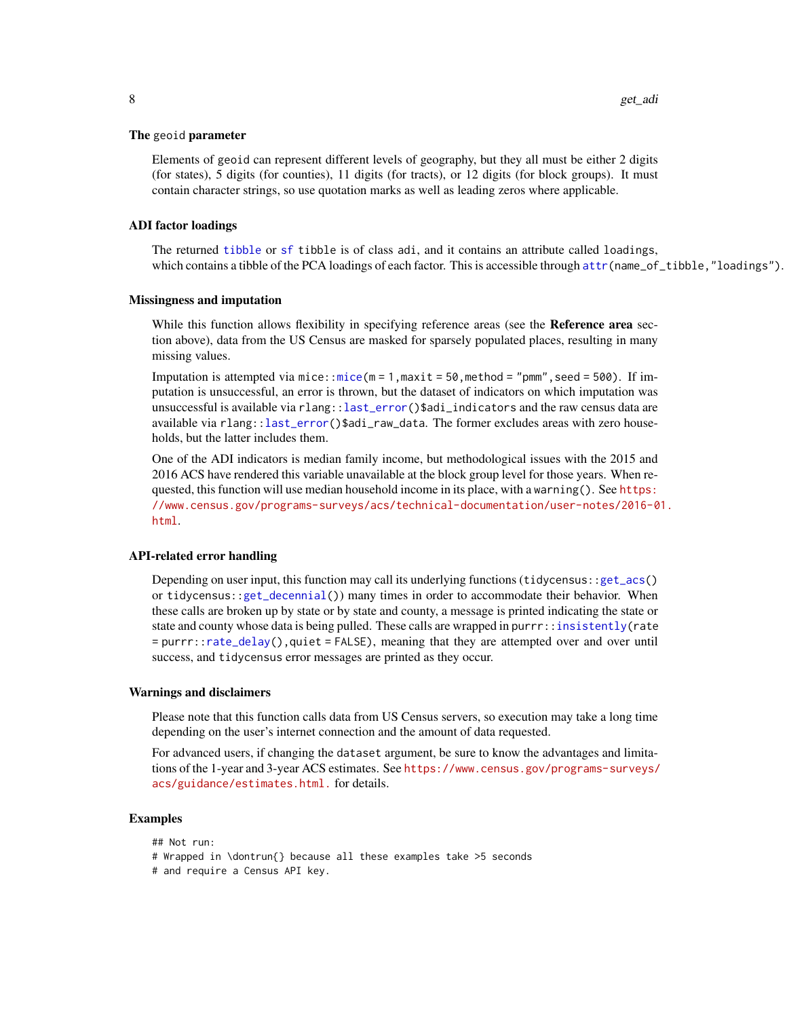#### <span id="page-7-0"></span>The geoid parameter

Elements of geoid can represent different levels of geography, but they all must be either 2 digits (for states), 5 digits (for counties), 11 digits (for tracts), or 12 digits (for block groups). It must contain character strings, so use quotation marks as well as leading zeros where applicable.

#### ADI factor loadings

The returned [tibble](#page-0-0) or [sf](#page-0-0) tibble is of class adi, and it contains an attribute called loadings, which contains a tibble of the PCA loadings of each factor. This is accessible through [attr\(](#page-0-0)name\_of\_tibble,"loadings").

#### Missingness and imputation

While this function allows flexibility in specifying reference areas (see the **Reference area** section above), data from the US Census are masked for sparsely populated places, resulting in many missing values.

Imputation is attempted via mice:[:mice\(](#page-0-0) $m = 1$ , maxit = 50, method = "pmm", seed = 500). If imputation is unsuccessful, an error is thrown, but the dataset of indicators on which imputation was unsuccessful is available via rlang:[:last\\_error\(](#page-0-0))\$adi\_indicators and the raw census data are available via rlang:[:last\\_error\(](#page-0-0))\$adi\_raw\_data. The former excludes areas with zero households, but the latter includes them.

One of the ADI indicators is median family income, but methodological issues with the 2015 and 2016 ACS have rendered this variable unavailable at the block group level for those years. When requested, this function will use median household income in its place, with a warning(). See [https:](https://www.census.gov/programs-surveys/acs/technical-documentation/user-notes/2016-01.html) [//www.census.gov/programs-surveys/acs/technical-documentation/user-notes/2016-0](https://www.census.gov/programs-surveys/acs/technical-documentation/user-notes/2016-01.html)1. [html](https://www.census.gov/programs-surveys/acs/technical-documentation/user-notes/2016-01.html).

#### API-related error handling

Depending on user input, this function may call its underlying functions (tidycensus:[:get\\_acs\(](#page-0-0)) or tidycensus:[:get\\_decennial\(](#page-0-0))) many times in order to accommodate their behavior. When these calls are broken up by state or by state and county, a message is printed indicating the state or state and county whose data is being pulled. These calls are wrapped in purrr:[:insistently\(](#page-0-0)rate = purrr:[:rate\\_delay\(](#page-0-0)),quiet = FALSE), meaning that they are attempted over and over until success, and tidycensus error messages are printed as they occur.

#### Warnings and disclaimers

Please note that this function calls data from US Census servers, so execution may take a long time depending on the user's internet connection and the amount of data requested.

For advanced users, if changing the dataset argument, be sure to know the advantages and limitations of the 1-year and 3-year ACS estimates. See [https://www.census.gov/programs-surveys/](https://www.census.gov/programs-surveys/acs/guidance/estimates.html.) [acs/guidance/estimates.html.](https://www.census.gov/programs-surveys/acs/guidance/estimates.html.) for details.

#### Examples

## Not run: # Wrapped in \dontrun{} because all these examples take >5 seconds # and require a Census API key.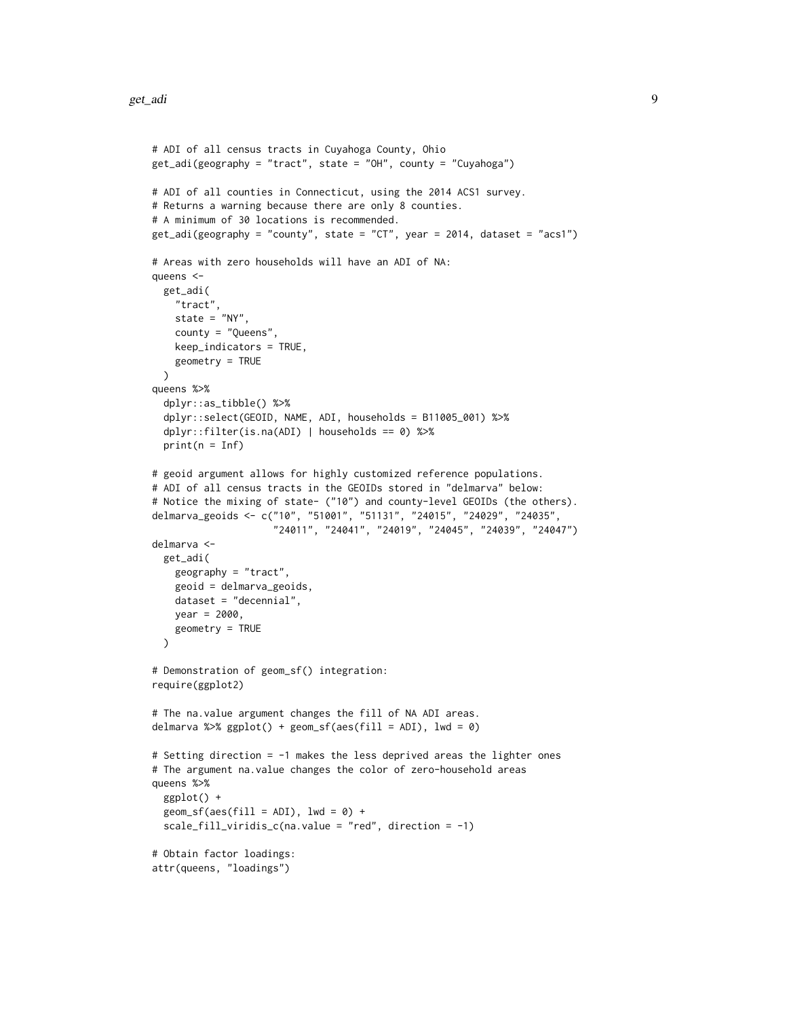```
# ADI of all census tracts in Cuyahoga County, Ohio
get_adi(geography = "tract", state = "OH", county = "Cuyahoga")
# ADI of all counties in Connecticut, using the 2014 ACS1 survey.
# Returns a warning because there are only 8 counties.
# A minimum of 30 locations is recommended.
get_adi(geography = "county", state = "CT", year = 2014, dataset = "acs1")
# Areas with zero households will have an ADI of NA:
queens <-
 get_adi(
   "tract",
   state = NY''.
   county = "Queens",
   keep_indicators = TRUE,
   geometry = TRUE
 \lambdaqueens %>%
 dplyr::as_tibble() %>%
 dplyr::select(GEOID, NAME, ADI, households = B11005_001) %>%
 dplyr::filter(is.na(ADI) | households == 0) %>%
 print(n = Inf)# geoid argument allows for highly customized reference populations.
# ADI of all census tracts in the GEOIDs stored in "delmarva" below:
# Notice the mixing of state- ("10") and county-level GEOIDs (the others).
delmarva_geoids <- c("10", "51001", "51131", "24015", "24029", "24035",
                     "24011", "24041", "24019", "24045", "24039", "24047")
delmarva <-
 get_adi(
   geography = "tract",
   geoid = delmarva_geoids,
   dataset = "decennial",
   year = 2000,
   geometry = TRUE
 \lambda# Demonstration of geom_sf() integration:
require(ggplot2)
# The na.value argument changes the fill of NA ADI areas.
delmarva %>% ggplot() + geom_sf(aes(fill = ADI), lwd = 0)
# Setting direction = -1 makes the less deprived areas the lighter ones
# The argument na.value changes the color of zero-household areas
queens %>%
 ggplot() +
 geom_s f(aes(fill = ADI), lwd = 0) +scale_fill_viridis_c(na.value = "red", direction = -1)
# Obtain factor loadings:
attr(queens, "loadings")
```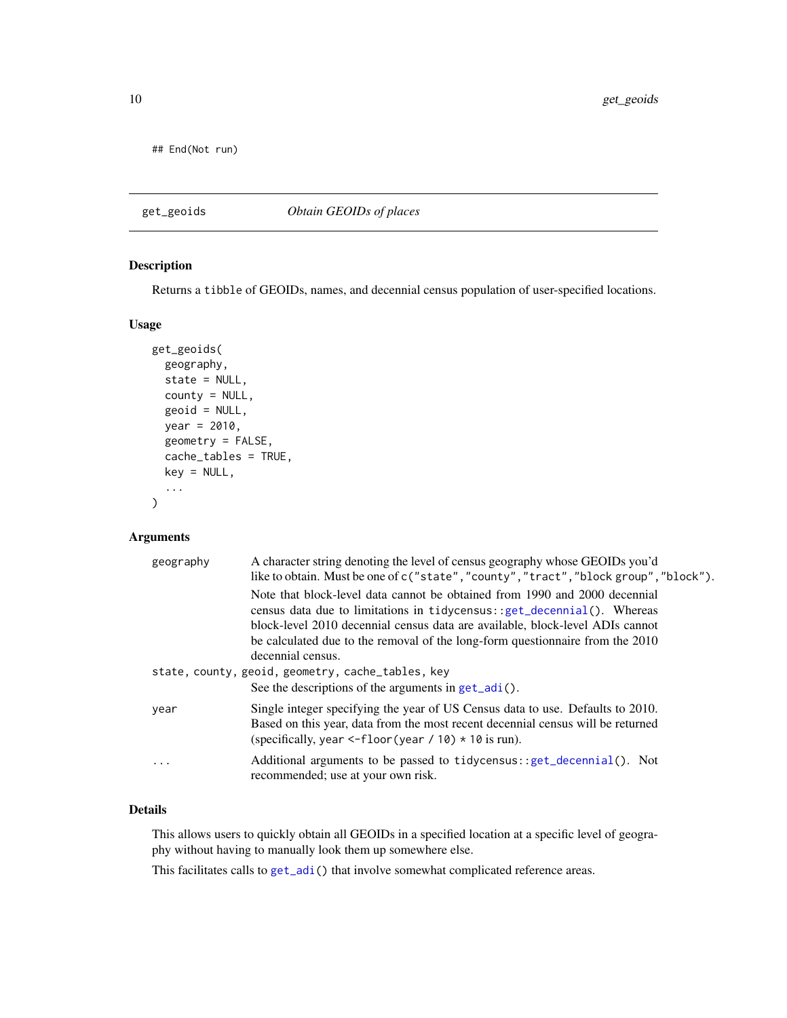<span id="page-9-0"></span>## End(Not run)

#### get\_geoids *Obtain GEOIDs of places*

#### Description

Returns a tibble of GEOIDs, names, and decennial census population of user-specified locations.

#### Usage

```
get_geoids(
 geography,
  state = NULL,
  county = NULL,
  geoid = NULL,
 year = 2010,geometry = FALSE,
  cache_tables = TRUE,
  key = NULL,
  ...
)
```
#### Arguments

| geography | A character string denoting the level of census geography whose GEOIDs you'd<br>like to obtain. Must be one of c("state", "county", "tract", "block group", "block").                                                                       |
|-----------|---------------------------------------------------------------------------------------------------------------------------------------------------------------------------------------------------------------------------------------------|
|           | Note that block-level data cannot be obtained from 1990 and 2000 decennial<br>census data due to limitations in $t$ idycensus:: $get$ decennial(). Whereas<br>block-level 2010 decennial census data are available, block-level ADIs cannot |
|           | be calculated due to the removal of the long-form questionnaire from the 2010<br>decennial census.                                                                                                                                          |
|           | state, county, geoid, geometry, cache_tables, key                                                                                                                                                                                           |
|           | See the descriptions of the arguments in $get\_adi()$ .                                                                                                                                                                                     |
| year      | Single integer specifying the year of US Census data to use. Defaults to 2010.<br>Based on this year, data from the most recent decennial census will be returned<br>(specifically, year $\leq$ -floor (year / 10) $\star$ 10 is run).      |
| .         | Additional arguments to be passed to tidycensus: : get_decennial(). Not<br>recommended; use at your own risk.                                                                                                                               |

#### Details

This allows users to quickly obtain all GEOIDs in a specified location at a specific level of geography without having to manually look them up somewhere else.

This facilitates calls to [get\\_adi\(](#page-4-1)) that involve somewhat complicated reference areas.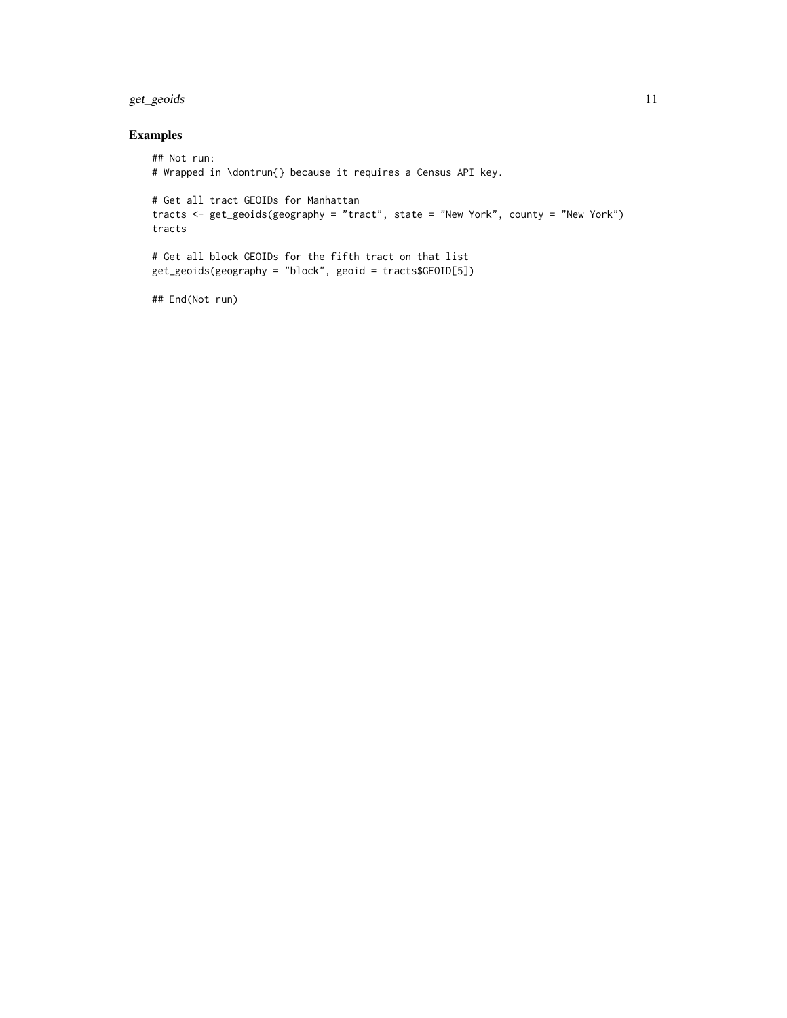#### get\_geoids 11

#### Examples

```
## Not run:
# Wrapped in \dontrun{} because it requires a Census API key.
# Get all tract GEOIDs for Manhattan
tracts <- get_geoids(geography = "tract", state = "New York", county = "New York")
tracts
# Get all block GEOIDs for the fifth tract on that list
get_geoids(geography = "block", geoid = tracts$GEOID[5])
```
## End(Not run)